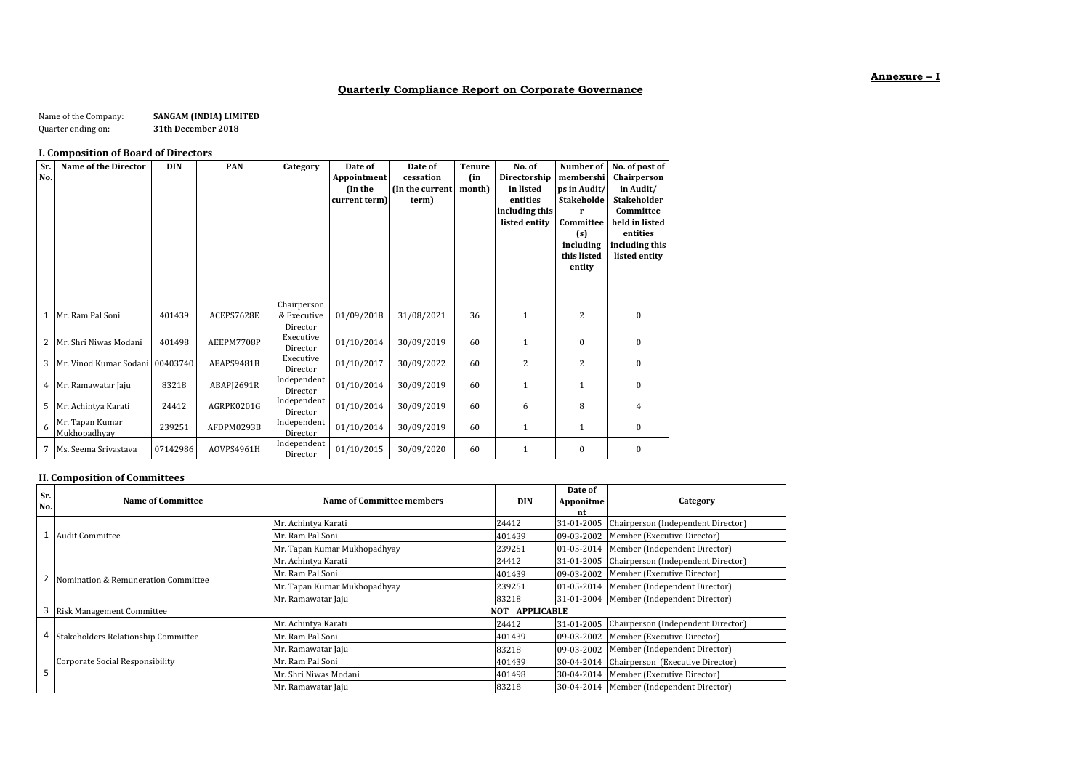# **Quarterly Compliance Report on Corporate Governance**

#### Name of the Company: **SANGAM (INDIA) LIMITED**<br>Quarter ending on: **31th December 2018** Quarter ending on: **31th December 2018**

#### **I. Composition of Board of Directors**

| Sr.<br>No.   | Name of the Director            | <b>DIN</b> | PAN        | Category                               | Date of<br>Appointment<br>(In the<br>current term) | Date of<br>cessation<br>(In the current<br>term) | <b>Tenure</b><br>(in<br>month) | No. of<br>Directorship<br>in listed<br>entities<br>including this<br>listed entity | Number of<br>membershi<br>ps in Audit/<br><b>Stakeholde</b><br>Committee<br>(s)<br>including<br>this listed<br>entity | No. of post of<br>Chairperson<br>in Audit/<br><b>Stakeholder</b><br>Committee<br>held in listed<br>entities<br>including this<br>listed entity |
|--------------|---------------------------------|------------|------------|----------------------------------------|----------------------------------------------------|--------------------------------------------------|--------------------------------|------------------------------------------------------------------------------------|-----------------------------------------------------------------------------------------------------------------------|------------------------------------------------------------------------------------------------------------------------------------------------|
| $\mathbf{1}$ | Mr. Ram Pal Soni                | 401439     | ACEPS7628E | Chairperson<br>& Executive<br>Director | 01/09/2018                                         | 31/08/2021                                       | 36                             | 1                                                                                  | $\overline{2}$                                                                                                        | $\mathbf{0}$                                                                                                                                   |
| 2            | Mr. Shri Niwas Modani           | 401498     | AEEPM7708P | Executive<br>Director                  | 01/10/2014                                         | 30/09/2019                                       | 60                             | 1                                                                                  | $\mathbf{0}$                                                                                                          | $\bf{0}$                                                                                                                                       |
| 3            | Mr. Vinod Kumar Sodani          | 00403740   | AEAPS9481B | Executive<br>Director                  | 01/10/2017                                         | 30/09/2022                                       | 60                             | 2                                                                                  | $\overline{2}$                                                                                                        | $\mathbf{0}$                                                                                                                                   |
| 4            | Mr. Ramawatar Jaju              | 83218      | ABAPJ2691R | Independent<br>Director                | 01/10/2014                                         | 30/09/2019                                       | 60                             | 1                                                                                  | 1                                                                                                                     | $\bf{0}$                                                                                                                                       |
| 5            | Mr. Achintya Karati             | 24412      | AGRPK0201G | Independent<br>Director                | 01/10/2014                                         | 30/09/2019                                       | 60                             | 6                                                                                  | 8                                                                                                                     | 4                                                                                                                                              |
| 6            | Mr. Tapan Kumar<br>Mukhopadhyay | 239251     | AFDPM0293B | Independent<br>Director                | 01/10/2014                                         | 30/09/2019                                       | 60                             |                                                                                    | 1                                                                                                                     | $\bf{0}$                                                                                                                                       |
| 7            | Ms. Seema Srivastava            | 07142986   | AOVPS4961H | Independent<br>Director                | 01/10/2015                                         | 30/09/2020                                       | 60                             | $\mathbf{1}$                                                                       | $\mathbf{0}$                                                                                                          | $\bf{0}$                                                                                                                                       |

### **II. Composition of Committees**

| Sr.<br>No. | Name of Committee                   | Name of Committee members    | <b>DIN</b> | Date of<br>Apponitme<br>nt | Category                                      |
|------------|-------------------------------------|------------------------------|------------|----------------------------|-----------------------------------------------|
|            |                                     | Mr. Achintya Karati          | 24412      |                            | 31-01-2005 Chairperson (Independent Director) |
|            | <b>Audit Committee</b>              | Mr. Ram Pal Soni             | 401439     | 09-03-2002                 | Member (Executive Director)                   |
|            |                                     | Mr. Tapan Kumar Mukhopadhyay | 239251     | 01-05-2014                 | Member (Independent Director)                 |
|            |                                     | Mr. Achintya Karati          | 24412      | 31-01-2005                 | Chairperson (Independent Director)            |
|            | Nomination & Remuneration Committee | Mr. Ram Pal Soni             | 401439     | 09-03-2002                 | Member (Executive Director)                   |
|            |                                     | Mr. Tapan Kumar Mukhopadhyay | 239251     | 01-05-2014                 | Member (Independent Director)                 |
|            |                                     | Mr. Ramawatar Jaju           | 83218      |                            | 31-01-2004 Member (Independent Director)      |
|            | <b>Risk Management Committee</b>    | <b>NOT APPLICABLE</b>        |            |                            |                                               |
|            |                                     | Mr. Achintya Karati          | 24412      | 31-01-2005                 | Chairperson (Independent Director)            |
| 4          | Stakeholders Relationship Committee | Mr. Ram Pal Soni             | 401439     | 09-03-2002                 | Member (Executive Director)                   |
|            |                                     | Mr. Ramawatar Jaju           | 83218      | 09-03-2002                 | Member (Independent Director)                 |
|            | Corporate Social Responsibility     | Mr. Ram Pal Soni             | 401439     | 30-04-2014                 | Chairperson (Executive Director)              |
|            |                                     | Mr. Shri Niwas Modani        | 401498     | 30-04-2014                 | Member (Executive Director)                   |
|            |                                     | Mr. Ramawatar Jaju           | 83218      | 30-04-2014                 | Member (Independent Director)                 |